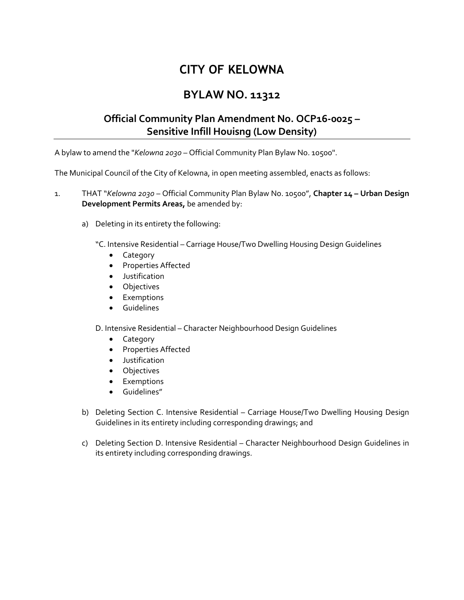## **CITY OF KELOWNA**

## **BYLAW NO. 11312**

## **Official Community Plan Amendment No. OCP16-0025 – Sensitive Infill Houisng (Low Density)**

A bylaw to amend the "*Kelowna 2030* – Official Community Plan Bylaw No. 10500".

The Municipal Council of the City of Kelowna, in open meeting assembled, enacts as follows:

1. THAT "*Kelowna 2030* – Official Community Plan Bylaw No. 10500", **Chapter 14 – Urban Design Development Permits Areas,** be amended by:

a) Deleting in its entirety the following:

"C. Intensive Residential – Carriage House/Two Dwelling Housing Design Guidelines

- Category
- Properties Affected
- Justification
- Objectives
- **•** Exemptions
- **•** Guidelines

D. Intensive Residential – Character Neighbourhood Design Guidelines

- Category
- Properties Affected
- Justification
- Objectives
- **•** Exemptions
- Guidelines"
- b) Deleting Section C. Intensive Residential Carriage House/Two Dwelling Housing Design Guidelines in its entirety including corresponding drawings; and
- c) Deleting Section D. Intensive Residential Character Neighbourhood Design Guidelines in its entirety including corresponding drawings.